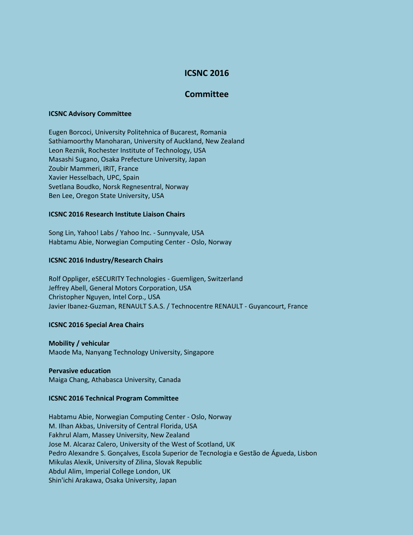# **ICSNC 2016**

# **Committee**

## **ICSNC Advisory Committee**

Eugen Borcoci, University Politehnica of Bucarest, Romania Sathiamoorthy Manoharan, University of Auckland, New Zealand Leon Reznik, Rochester Institute of Technology, USA Masashi Sugano, Osaka Prefecture University, Japan Zoubir Mammeri, IRIT, France Xavier Hesselbach, UPC, Spain Svetlana Boudko, Norsk Regnesentral, Norway Ben Lee, Oregon State University, USA

# **ICSNC 2016 Research Institute Liaison Chairs**

Song Lin, Yahoo! Labs / Yahoo Inc. - Sunnyvale, USA Habtamu Abie, Norwegian Computing Center - Oslo, Norway

# **ICSNC 2016 Industry/Research Chairs**

Rolf Oppliger, eSECURITY Technologies - Guemligen, Switzerland Jeffrey Abell, General Motors Corporation, USA Christopher Nguyen, Intel Corp., USA Javier Ibanez-Guzman, RENAULT S.A.S. / Technocentre RENAULT - Guyancourt, France

### **ICSNC 2016 Special Area Chairs**

**Mobility / vehicular** Maode Ma, Nanyang Technology University, Singapore

### **Pervasive education**

Maiga Chang, Athabasca University, Canada

## **ICSNC 2016 Technical Program Committee**

Habtamu Abie, Norwegian Computing Center - Oslo, Norway M. Ilhan Akbas, University of Central Florida, USA Fakhrul Alam, Massey University, New Zealand Jose M. Alcaraz Calero, University of the West of Scotland, UK Pedro Alexandre S. Gonçalves, Escola Superior de Tecnologia e Gestão de Águeda, Lisbon Mikulas Alexik, University of Zilina, Slovak Republic Abdul Alim, Imperial College London, UK Shin'ichi Arakawa, Osaka University, Japan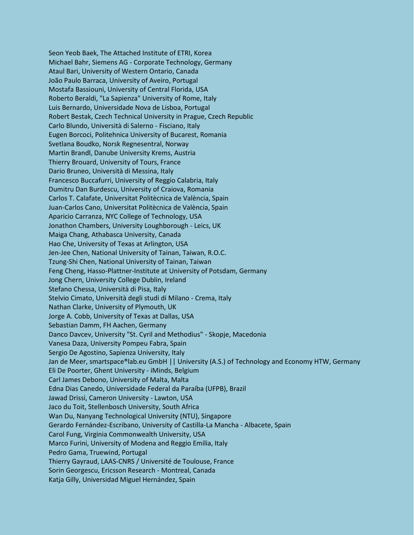Seon Yeob Baek, The Attached Institute of ETRI, Korea Michael Bahr, Siemens AG - Corporate Technology, Germany Ataul Bari, University of Western Ontario, Canada João Paulo Barraca, University of Aveiro, Portugal Mostafa Bassiouni, University of Central Florida, USA Roberto Beraldi, "La Sapienza" University of Rome, Italy Luis Bernardo, Universidade Nova de Lisboa, Portugal Robert Bestak, Czech Technical University in Prague, Czech Republic Carlo Blundo, Università di Salerno - Fisciano, Italy Eugen Borcoci, Politehnica University of Bucarest, Romania Svetlana Boudko, Norsk Regnesentral, Norway Martin Brandl, Danube University Krems, Austria Thierry Brouard, University of Tours, France Dario Bruneo, Università di Messina, Italy Francesco Buccafurri, University of Reggio Calabria, Italy Dumitru Dan Burdescu, University of Craiova, Romania Carlos T. Calafate, Universitat Politècnica de València, Spain Juan-Carlos Cano, Universitat Politècnica de València, Spain Aparicio Carranza, NYC College of Technology, USA Jonathon Chambers, University Loughborough - Leics, UK Maiga Chang, Athabasca University, Canada Hao Che, University of Texas at Arlington, USA Jen-Jee Chen, National University of Tainan, Taiwan, R.O.C. Tzung-Shi Chen, National University of Tainan, Taiwan Feng Cheng, Hasso-Plattner-Institute at University of Potsdam, Germany Jong Chern, University College Dublin, Ireland Stefano Chessa, Università di Pisa, Italy Stelvio Cimato, Università degli studi di Milano - Crema, Italy Nathan Clarke, University of Plymouth, UK Jorge A. Cobb, University of Texas at Dallas, USA Sebastian Damm, FH Aachen, Germany Danco Davcev, University "St. Cyril and Methodius" - Skopje, Macedonia Vanesa Daza, University Pompeu Fabra, Spain Sergio De Agostino, Sapienza University, Italy Jan de Meer, smartspace®lab.eu GmbH || University (A.S.) of Technology and Economy HTW, Germany Eli De Poorter, Ghent University - iMinds, Belgium Carl James Debono, University of Malta, Malta Edna Dias Canedo, Universidade Federal da Paraíba (UFPB), Brazil Jawad Drissi, Cameron University - Lawton, USA Jaco du Toit, Stellenbosch University, South Africa Wan Du, Nanyang Technological University (NTU), Singapore Gerardo Fernández-Escribano, University of Castilla-La Mancha - Albacete, Spain Carol Fung, Virginia Commonwealth University, USA Marco Furini, University of Modena and Reggio Emilia, Italy Pedro Gama, Truewind, Portugal Thierry Gayraud, LAAS-CNRS / Université de Toulouse, France Sorin Georgescu, Ericsson Research - Montreal, Canada Katja Gilly, Universidad Miguel Hernández, Spain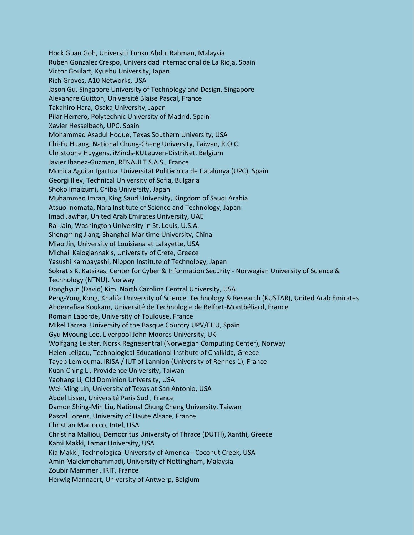Hock Guan Goh, Universiti Tunku Abdul Rahman, Malaysia Ruben Gonzalez Crespo, Universidad Internacional de La Rioja, Spain Victor Goulart, Kyushu University, Japan Rich Groves, A10 Networks, USA Jason Gu, Singapore University of Technology and Design, Singapore Alexandre Guitton, Université Blaise Pascal, France Takahiro Hara, Osaka University, Japan Pilar Herrero, Polytechnic University of Madrid, Spain Xavier Hesselbach, UPC, Spain Mohammad Asadul Hoque, Texas Southern University, USA Chi-Fu Huang, National Chung-Cheng University, Taiwan, R.O.C. Christophe Huygens, iMinds-KULeuven-DistriNet, Belgium Javier Ibanez-Guzman, RENAULT S.A.S., France Monica Aguilar Igartua, Universitat Politècnica de Catalunya (UPC), Spain Georgi Iliev, Technical University of Sofia, Bulgaria Shoko Imaizumi, Chiba University, Japan Muhammad Imran, King Saud University, Kingdom of Saudi Arabia Atsuo Inomata, Nara Institute of Science and Technology, Japan Imad Jawhar, United Arab Emirates University, UAE Raj Jain, Washington University in St. Louis, U.S.A. Shengming Jiang, Shanghai Maritime University, China Miao Jin, University of Louisiana at Lafayette, USA Michail Kalogiannakis, University of Crete, Greece Yasushi Kambayashi, Nippon Institute of Technology, Japan Sokratis K. Katsikas, Center for Cyber & Information Security - Norwegian University of Science & Technology (NTNU), Norway Donghyun (David) Kim, North Carolina Central University, USA Peng-Yong Kong, Khalifa University of Science, Technology & Research (KUSTAR), United Arab Emirates Abderrafiaa Koukam, Université de Technologie de Belfort-Montbéliard, France Romain Laborde, University of Toulouse, France Mikel Larrea, University of the Basque Country UPV/EHU, Spain Gyu Myoung Lee, Liverpool John Moores University, UK Wolfgang Leister, Norsk Regnesentral (Norwegian Computing Center), Norway Helen Leligou, Technological Educational Institute of Chalkida, Greece Tayeb Lemlouma, IRISA / IUT of Lannion (University of Rennes 1), France Kuan-Ching Li, Providence University, Taiwan Yaohang Li, Old Dominion University, USA Wei-Ming Lin, University of Texas at San Antonio, USA Abdel Lisser, Université Paris Sud , France Damon Shing-Min Liu, National Chung Cheng University, Taiwan Pascal Lorenz, University of Haute Alsace, France Christian Maciocco, Intel, USA Christina Malliou, Democritus University of Thrace (DUTH), Xanthi, Greece Kami Makki, Lamar University, USA Kia Makki, Technological University of America - Coconut Creek, USA Amin Malekmohammadi, University of Nottingham, Malaysia Zoubir Mammeri, IRIT, France Herwig Mannaert, University of Antwerp, Belgium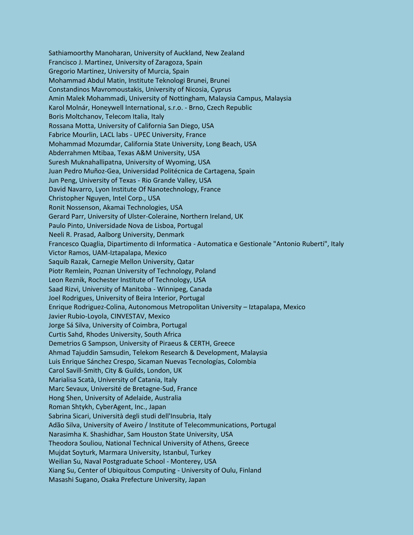Sathiamoorthy Manoharan, University of Auckland, New Zealand Francisco J. Martinez, University of Zaragoza, Spain Gregorio Martinez, University of Murcia, Spain Mohammad Abdul Matin, Institute Teknologi Brunei, Brunei Constandinos Mavromoustakis, University of Nicosia, Cyprus Amin Malek Mohammadi, University of Nottingham, Malaysia Campus, Malaysia Karol Molnár, Honeywell International, s.r.o. - Brno, Czech Republic Boris Moltchanov, Telecom Italia, Italy Rossana Motta, University of California San Diego, USA Fabrice Mourlin, LACL labs - UPEC University, France Mohammad Mozumdar, California State University, Long Beach, USA Abderrahmen Mtibaa, Texas A&M University, USA Suresh Muknahallipatna, University of Wyoming, USA Juan Pedro Muñoz-Gea, Universidad Politécnica de Cartagena, Spain Jun Peng, University of Texas - Rio Grande Valley, USA David Navarro, Lyon Institute Of Nanotechnology, France Christopher Nguyen, Intel Corp., USA Ronit Nossenson, Akamai Technologies, USA Gerard Parr, University of Ulster-Coleraine, Northern Ireland, UK Paulo Pinto, Universidade Nova de Lisboa, Portugal Neeli R. Prasad, Aalborg University, Denmark Francesco Quaglia, Dipartimento di Informatica - Automatica e Gestionale "Antonio Ruberti", Italy Victor Ramos, UAM-Iztapalapa, Mexico Saquib Razak, Carnegie Mellon University, Qatar Piotr Remlein, Poznan University of Technology, Poland Leon Reznik, Rochester Institute of Technology, USA Saad Rizvi, University of Manitoba - Winnipeg, Canada Joel Rodrigues, University of Beira Interior, Portugal Enrique Rodriguez-Colina, Autonomous Metropolitan University – Iztapalapa, Mexico Javier Rubio-Loyola, CINVESTAV, Mexico Jorge Sá Silva, University of Coimbra, Portugal Curtis Sahd, Rhodes University, South Africa Demetrios G Sampson, University of Piraeus & CERTH, Greece Ahmad Tajuddin Samsudin, Telekom Research & Development, Malaysia Luis Enrique Sánchez Crespo, Sicaman Nuevas Tecnologías, Colombia Carol Savill-Smith, City & Guilds, London, UK Marialisa Scatà, University of Catania, Italy Marc Sevaux, Université de Bretagne-Sud, France Hong Shen, University of Adelaide, Australia Roman Shtykh, CyberAgent, Inc., Japan Sabrina Sicari, Università degli studi dell'Insubria, Italy Adão Silva, University of Aveiro / Institute of Telecommunications, Portugal Narasimha K. Shashidhar, Sam Houston State University, USA Theodora Souliou, National Technical University of Athens, Greece Mujdat Soyturk, Marmara University, Istanbul, Turkey Weilian Su, Naval Postgraduate School - Monterey, USA Xiang Su, Center of Ubiquitous Computing - University of Oulu, Finland Masashi Sugano, Osaka Prefecture University, Japan